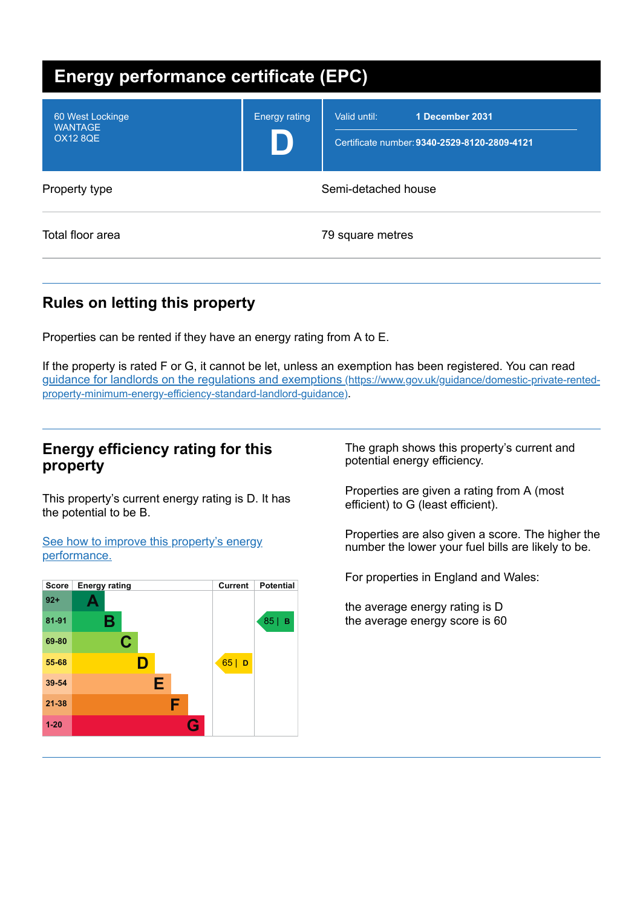| <b>Energy performance certificate (EPC)</b>           |                      |                                                                                 |
|-------------------------------------------------------|----------------------|---------------------------------------------------------------------------------|
| 60 West Lockinge<br><b>WANTAGE</b><br><b>OX12 8QE</b> | <b>Energy rating</b> | Valid until:<br>1 December 2031<br>Certificate number: 9340-2529-8120-2809-4121 |
| Property type                                         |                      | Semi-detached house                                                             |
| Total floor area                                      |                      | 79 square metres                                                                |

# **Rules on letting this property**

Properties can be rented if they have an energy rating from A to E.

If the property is rated F or G, it cannot be let, unless an exemption has been registered. You can read guidance for landlords on the regulations and exemptions (https://www.gov.uk/guidance/domestic-private-rented[property-minimum-energy-efficiency-standard-landlord-guidance\)](https://www.gov.uk/guidance/domestic-private-rented-property-minimum-energy-efficiency-standard-landlord-guidance).

# **Energy efficiency rating for this property**

This property's current energy rating is D. It has the potential to be B.

See how to improve this property's energy [performance.](#page-2-0)



The graph shows this property's current and potential energy efficiency.

Properties are given a rating from A (most efficient) to G (least efficient).

Properties are also given a score. The higher the number the lower your fuel bills are likely to be.

For properties in England and Wales:

the average energy rating is D the average energy score is 60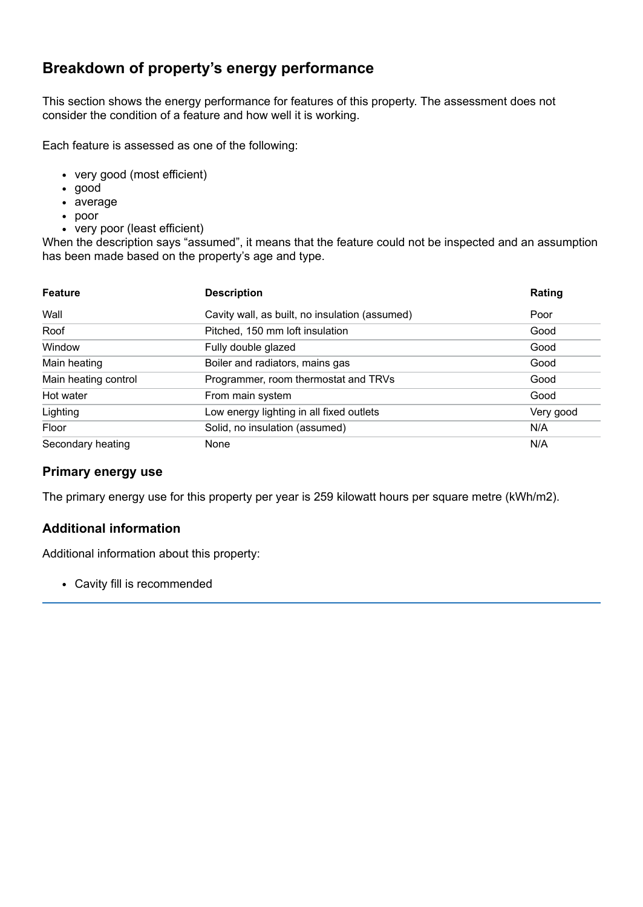# **Breakdown of property's energy performance**

This section shows the energy performance for features of this property. The assessment does not consider the condition of a feature and how well it is working.

Each feature is assessed as one of the following:

- very good (most efficient)
- good
- average
- poor
- very poor (least efficient)

When the description says "assumed", it means that the feature could not be inspected and an assumption has been made based on the property's age and type.

| <b>Feature</b>       | <b>Description</b>                             | Rating    |
|----------------------|------------------------------------------------|-----------|
| Wall                 | Cavity wall, as built, no insulation (assumed) | Poor      |
| Roof                 | Pitched, 150 mm loft insulation                | Good      |
| Window               | Fully double glazed                            | Good      |
| Main heating         | Boiler and radiators, mains gas                | Good      |
| Main heating control | Programmer, room thermostat and TRVs           | Good      |
| Hot water            | From main system                               | Good      |
| Lighting             | Low energy lighting in all fixed outlets       | Very good |
| Floor                | Solid, no insulation (assumed)                 | N/A       |
| Secondary heating    | None                                           | N/A       |

#### **Primary energy use**

The primary energy use for this property per year is 259 kilowatt hours per square metre (kWh/m2).

#### **Additional information**

Additional information about this property:

Cavity fill is recommended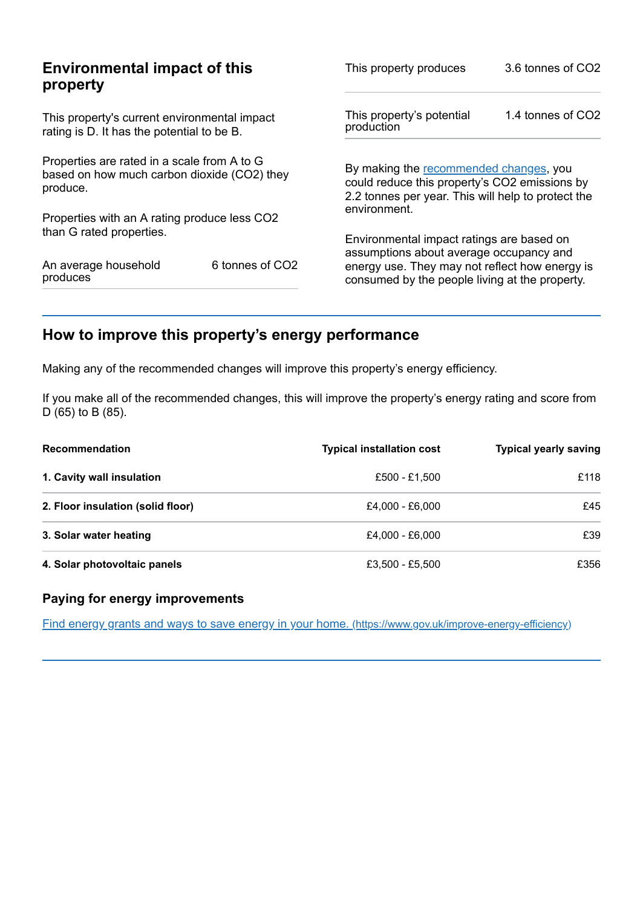| <b>Environmental impact of this</b><br>property                                                        |                 | This property produces                                                                                                                        | 3.6 tonnes of CO2 |
|--------------------------------------------------------------------------------------------------------|-----------------|-----------------------------------------------------------------------------------------------------------------------------------------------|-------------------|
| This property's current environmental impact<br>rating is D. It has the potential to be B.             |                 | This property's potential<br>production                                                                                                       | 1.4 tonnes of CO2 |
| Properties are rated in a scale from A to G<br>based on how much carbon dioxide (CO2) they<br>produce. |                 | By making the recommended changes, you<br>could reduce this property's CO2 emissions by<br>2.2 tonnes per year. This will help to protect the |                   |
| Properties with an A rating produce less CO2                                                           |                 | environment.                                                                                                                                  |                   |
| than G rated properties.                                                                               |                 | Environmental impact ratings are based on<br>assumptions about average occupancy and                                                          |                   |
| An average household<br>produces                                                                       | 6 tonnes of CO2 | energy use. They may not reflect how energy is<br>consumed by the people living at the property.                                              |                   |

# <span id="page-2-0"></span>**How to improve this property's energy performance**

Making any of the recommended changes will improve this property's energy efficiency.

If you make all of the recommended changes, this will improve the property's energy rating and score from D (65) to B (85).

| <b>Recommendation</b>             | <b>Typical installation cost</b> | <b>Typical yearly saving</b> |
|-----------------------------------|----------------------------------|------------------------------|
| 1. Cavity wall insulation         | £500 - £1,500                    | £118                         |
| 2. Floor insulation (solid floor) | £4.000 - £6.000                  | £45                          |
| 3. Solar water heating            | £4.000 - £6.000                  | £39                          |
| 4. Solar photovoltaic panels      | £3,500 - £5,500                  | £356                         |

#### **Paying for energy improvements**

Find energy grants and ways to save energy in your home. [\(https://www.gov.uk/improve-energy-efficiency\)](https://www.gov.uk/improve-energy-efficiency)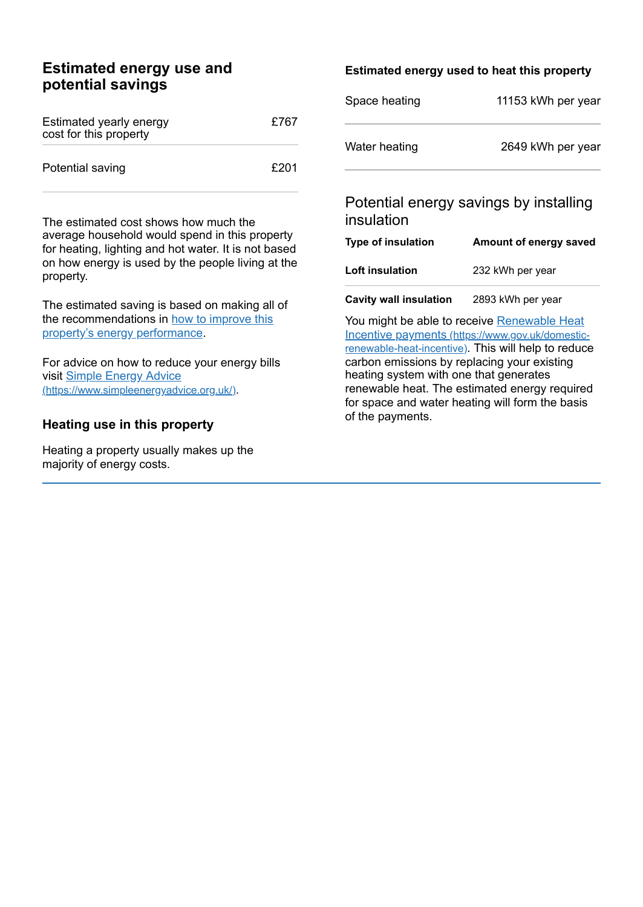# **Estimated energy use and potential savings**

| Estimated yearly energy<br>cost for this property | £767 |
|---------------------------------------------------|------|
| Potential saving                                  | £201 |

The estimated cost shows how much the average household would spend in this property for heating, lighting and hot water. It is not based on how energy is used by the people living at the property.

The estimated saving is based on making all of the [recommendations](#page-2-0) in how to improve this property's energy performance.

For advice on how to reduce your energy bills visit Simple Energy Advice [\(https://www.simpleenergyadvice.org.uk/\)](https://www.simpleenergyadvice.org.uk/).

#### **Heating use in this property**

Heating a property usually makes up the majority of energy costs.

#### **Estimated energy used to heat this property**

| Space heating | 11153 kWh per year |
|---------------|--------------------|
| Water heating | 2649 kWh per year  |

# Potential energy savings by installing insulation

| Type of insulation     | Amount of energy saved |
|------------------------|------------------------|
| <b>Loft insulation</b> | 232 kWh per year       |
|                        |                        |

**Cavity wall insulation** 2893 kWh per year

You might be able to receive Renewable Heat Incentive payments [\(https://www.gov.uk/domestic](https://www.gov.uk/domestic-renewable-heat-incentive)renewable-heat-incentive). This will help to reduce carbon emissions by replacing your existing heating system with one that generates renewable heat. The estimated energy required for space and water heating will form the basis of the payments.